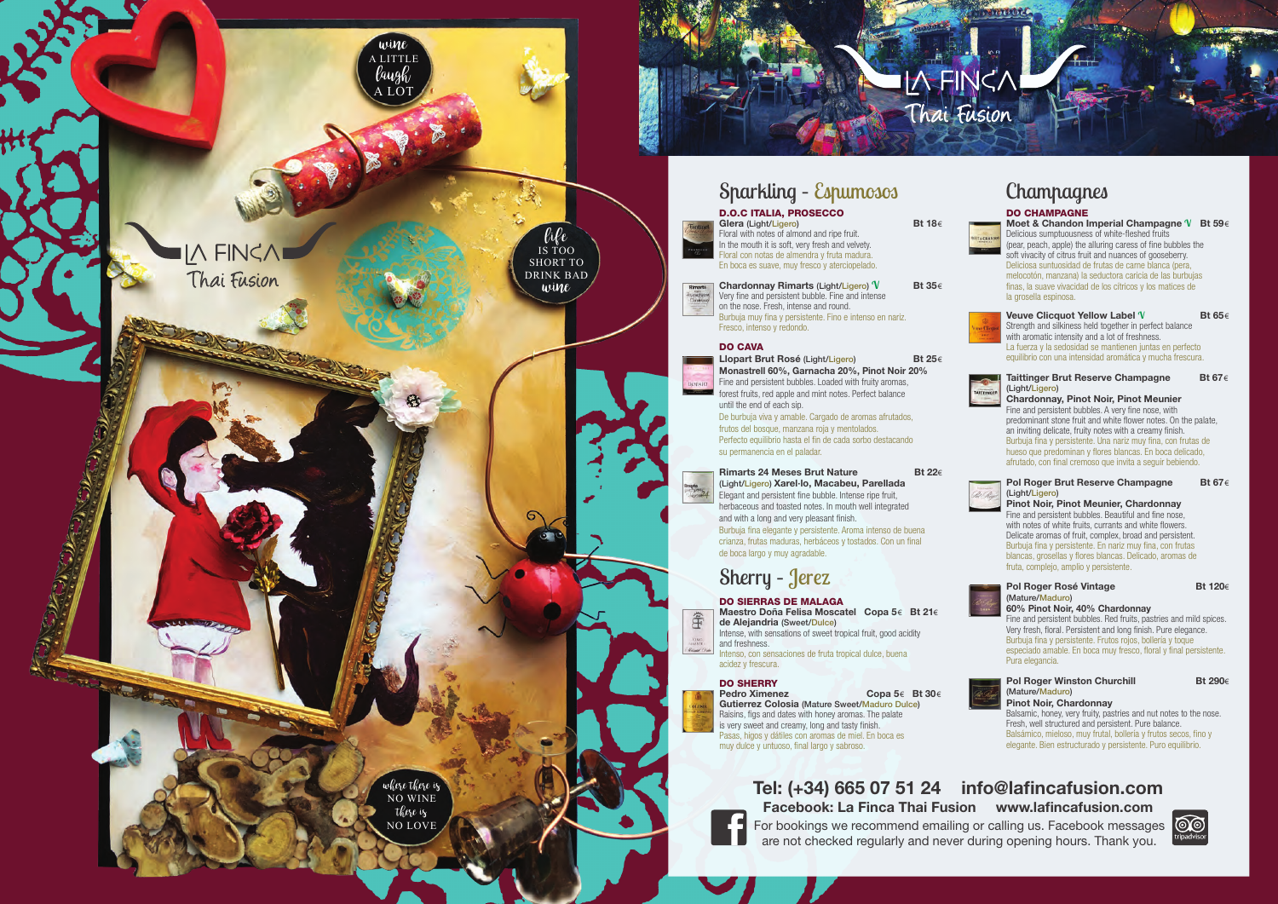



For bookings we recommend emailing or calling us. Facebook messages are not checked regularly and never during opening hours. Thank you.





**Bt 18€** 

# **Tel: (+34) 665 07 51 24 info@lafincafusion.com Facebook: La Finca Thai Fusion www.lafincafusion.com**

DO CHAMPAGNE **Moet & Chandon Imperial Champagne V Bt 59** € Delicious sumptuousness of white-fleshed fruits (pear, peach, apple) the alluring caress of fine bubbles the soft vivacity of citrus fruit and nuances of gooseberry. Deliciosa suntuosidad de frutas de carne blanca (pera, melocotón, manzana) la seductora caricia de las burbujas finas, la suave vivacidad de los cítricos y los matices de la grosella espinosa.



#### **Pol Roger Brut Reserve Champagne** (Light/Ligero )

**Veuve Clicquot Yellow Label V Bt 65** € Strength and silkiness held together in perfect balance with aromatic intensity and a lot of freshness. La fuerza y la sedosidad se mantienen juntas en perfecto equilibrio con una intensidad aromática y mucha frescura.

# **Pol Roger Rosé Vintage** (Mature/Maduro )



#### **Pol Roger Winston Churchill Bt 290€** (Mature/Maduro ) **Pinot Noir, Chardonnay** Balsamic, honey, very fruity, pastries and nut notes to the nose. Fresh, well structured and persistent. Pure balance.

**Chardonnay, Pinot Noir, Pinot Meunier** Fine and persistent bubbles. A very fine nose, with predominant stone fruit and white flower notes. On the palate, an inviting delicate, fruity notes with a creamy finish. Burbuja fina y persistente. Una nariz muy fina, con frutas de hueso que predominan y flores blancas. En boca delicado, afrutado, con final cremoso que invita a seguir bebiendo.



**Pinot Noir, Pinot Meunier, Chardonnay** Fine and persistent bubbles. Beautiful and fine nose, with notes of white fruits, currants and white flowers. Delicate aromas of fruit, complex, broad and persistent. Burbuja fina y persistente. En nariz muy fina, con frutas blancas, grosellas y flores blancas. Delicado, aromas de fruta, complejo, amplio y persistente.



#### **Rimarts 24 Meses Brut Nature Bt 22€** (Light/Ligero) **Xarel·lo, Macabeu, Parellada** Elegant and persistent fine bubble. Intense ripe fruit, herbaceous and toasted notes. In mouth well integrated and with a long and very pleasant finish. Burbuja fina elegante y persistente. Aroma intenso de buena crianza, frutas maduras, herbáceos y tostados. Con un final de boca largo y muy agradable.

**60% Pinot Noir, 40% Chardonnay** Fine and persistent bubbles. Red fruits, pastries and mild spices. Very fresh, floral. Persistent and long finish. Pure elegance. Burbuja fina y persistente. Frutos rojos, bollería y toque especiado amable. En boca muy fresco, floral y final persistente. Pura elegancia.



**Pedro Ximenez** € **Bt 30** € **Gutierrez Colosia** (Mature Sweet/Maduro Dulce ) Raisins, figs and dates with honey aromas. The palate is very sweet and creamy, long and tasty finish. Pasas, higos y dátiles con aromas de miel. En boca es muy dulce y untuoso, final largo y sabroso.

Balsámico, mieloso, muy frutal, bollería y frutos secos, fino y elegante. Bien estructurado y persistente. Puro equilibrio.



**Bt 120€** 

Bt 67€

Bt 67€

**Glera** (Light/Ligero ) **Bt 18** Floral with notes of almond and ripe fruit. In the mouth it is soft, very fresh and velvety. Floral con notas de almendra y fruta madura. En boca es suave, muy fresco y aterciopelado.

**Chardonnay Rimarts** (Light/Ligero ) **V Bt 35** € Very fine and persistent bubble. Fine and intense on the nose. Fresh, intense and round. Burbuja muy fina y persistente. Fino e intenso en nariz. Fresco, intenso y redondo.

## DO CAVA

Rimarts<br>Anglicken

ĜÉ VINO<br>IAESTE Richard Or

# D.O.C ITALIA, PROSECCO Sparkling – Espumosos Champagnes

**Llopart Brut Rosé** (Light/Ligero ) **Bt 25** € **Monastrell 60%, Garnacha 20%, Pinot Noir 20%** Fine and persistent bubbles. Loaded with fruity aromas, forest fruits, red apple and mint notes. Perfect balance until the end of each sip. De burbuja viva y amable. Cargado de aromas afrutados, frutos del bosque, manzana roja y mentolados. Perfecto equilibrio hasta el fin de cada sorbo destacando su permanencia en el paladar.

DO SIERRAS DE MALAGA **Maestro Doña Felisa Moscatel Copa 5** € **Bt 21** € **de Alejandria** (Sweet/Dulce ) Intense, with sensations of sweet tropical fruit, good acidity

and freshness. Intenso, con sensaciones de fruta tropical dulce, buena

acidez y frescura.

# DO SHERRY

# Sherry – Jerez